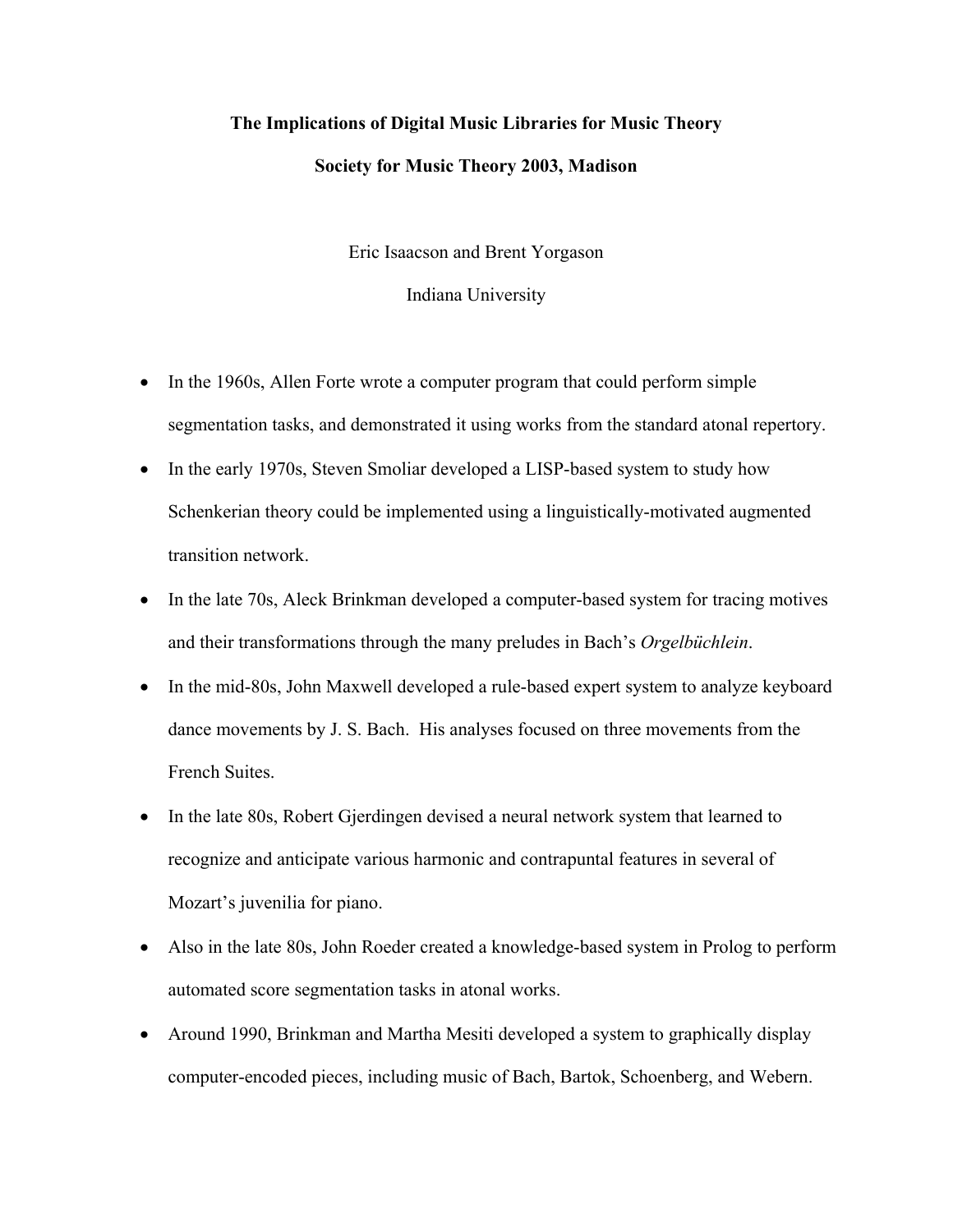## **The Implications of Digital Music Libraries for Music Theory Society for Music Theory 2003, Madison**

Eric Isaacson and Brent Yorgason

Indiana University

- In the 1960s, Allen Forte wrote a computer program that could perform simple segmentation tasks, and demonstrated it using works from the standard atonal repertory.
- In the early 1970s, Steven Smoliar developed a LISP-based system to study how Schenkerian theory could be implemented using a linguistically-motivated augmented transition network.
- In the late 70s, Aleck Brinkman developed a computer-based system for tracing motives and their transformations through the many preludes in Bach's *Orgelbüchlein*.
- In the mid-80s, John Maxwell developed a rule-based expert system to analyze keyboard dance movements by J. S. Bach. His analyses focused on three movements from the French Suites.
- In the late 80s, Robert Gjerdingen devised a neural network system that learned to recognize and anticipate various harmonic and contrapuntal features in several of Mozart's juvenilia for piano.
- Also in the late 80s, John Roeder created a knowledge-based system in Prolog to perform automated score segmentation tasks in atonal works.
- Around 1990, Brinkman and Martha Mesiti developed a system to graphically display computer-encoded pieces, including music of Bach, Bartok, Schoenberg, and Webern.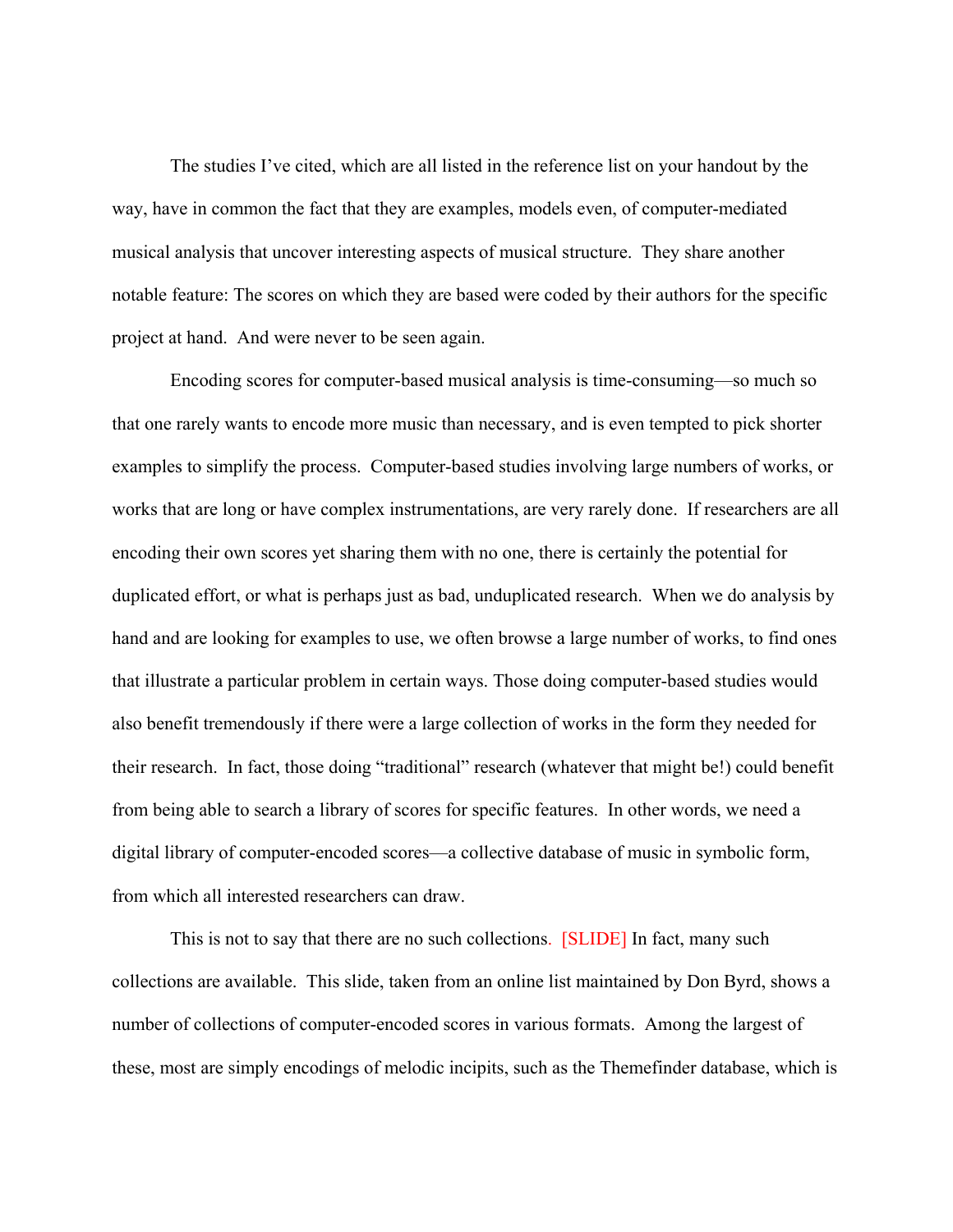The studies I've cited, which are all listed in the reference list on your handout by the way, have in common the fact that they are examples, models even, of computer-mediated musical analysis that uncover interesting aspects of musical structure. They share another notable feature: The scores on which they are based were coded by their authors for the specific project at hand. And were never to be seen again.

Encoding scores for computer-based musical analysis is time-consuming—so much so that one rarely wants to encode more music than necessary, and is even tempted to pick shorter examples to simplify the process. Computer-based studies involving large numbers of works, or works that are long or have complex instrumentations, are very rarely done. If researchers are all encoding their own scores yet sharing them with no one, there is certainly the potential for duplicated effort, or what is perhaps just as bad, unduplicated research. When we do analysis by hand and are looking for examples to use, we often browse a large number of works, to find ones that illustrate a particular problem in certain ways. Those doing computer-based studies would also benefit tremendously if there were a large collection of works in the form they needed for their research. In fact, those doing "traditional" research (whatever that might be!) could benefit from being able to search a library of scores for specific features. In other words, we need a digital library of computer-encoded scores—a collective database of music in symbolic form, from which all interested researchers can draw.

This is not to say that there are no such collections. [SLIDE] In fact, many such collections are available. This slide, taken from an online list maintained by Don Byrd, shows a number of collections of computer-encoded scores in various formats. Among the largest of these, most are simply encodings of melodic incipits, such as the Themefinder database, which is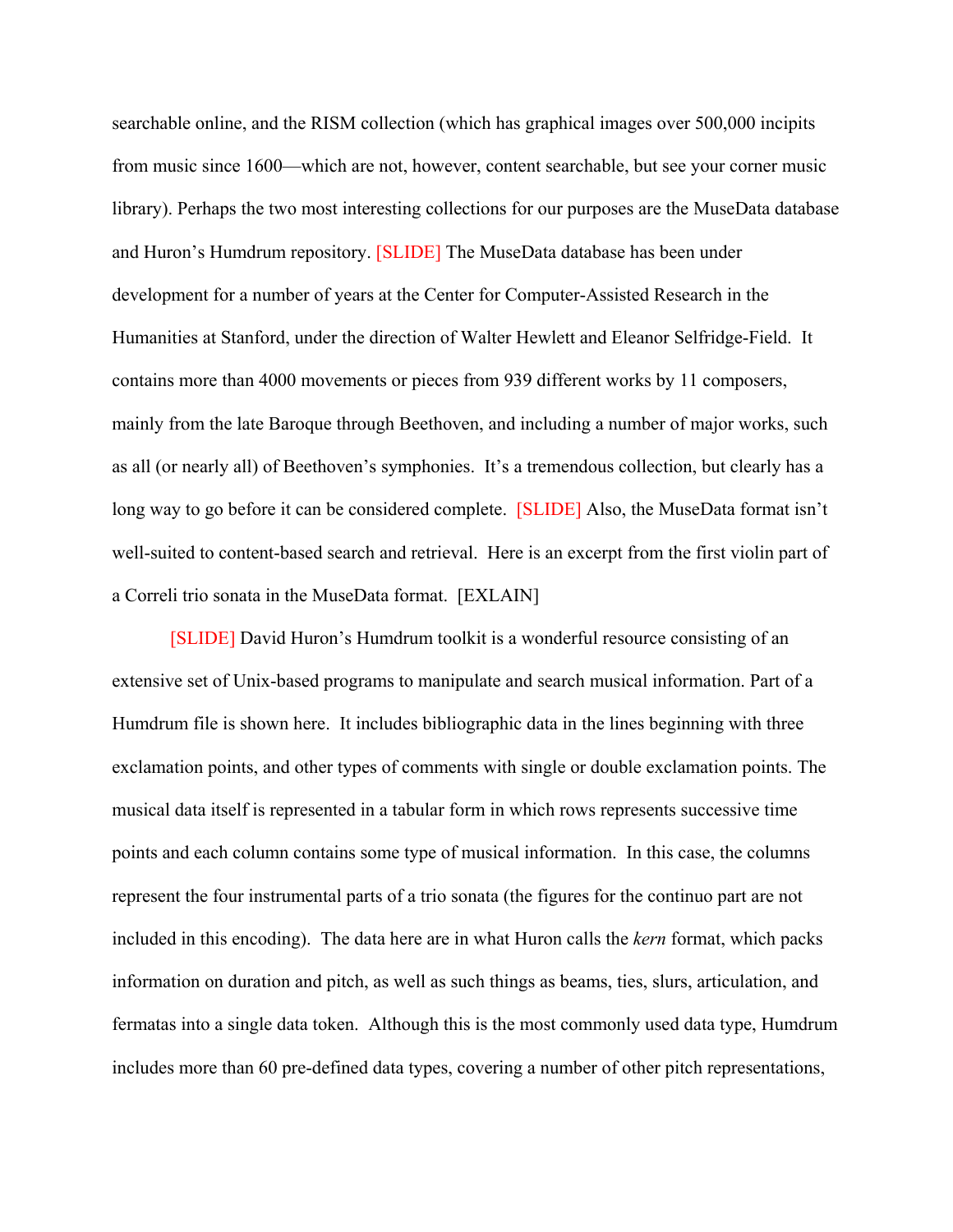searchable online, and the RISM collection (which has graphical images over 500,000 incipits from music since 1600—which are not, however, content searchable, but see your corner music library). Perhaps the two most interesting collections for our purposes are the MuseData database and Huron's Humdrum repository. [SLIDE] The MuseData database has been under development for a number of years at the Center for Computer-Assisted Research in the Humanities at Stanford, under the direction of Walter Hewlett and Eleanor Selfridge-Field. It contains more than 4000 movements or pieces from 939 different works by 11 composers, mainly from the late Baroque through Beethoven, and including a number of major works, such as all (or nearly all) of Beethoven's symphonies. It's a tremendous collection, but clearly has a long way to go before it can be considered complete. [SLIDE] Also, the MuseData format isn't well-suited to content-based search and retrieval. Here is an excerpt from the first violin part of a Correli trio sonata in the MuseData format. [EXLAIN]

[SLIDE] David Huron's Humdrum toolkit is a wonderful resource consisting of an extensive set of Unix-based programs to manipulate and search musical information. Part of a Humdrum file is shown here. It includes bibliographic data in the lines beginning with three exclamation points, and other types of comments with single or double exclamation points. The musical data itself is represented in a tabular form in which rows represents successive time points and each column contains some type of musical information. In this case, the columns represent the four instrumental parts of a trio sonata (the figures for the continuo part are not included in this encoding). The data here are in what Huron calls the *kern* format, which packs information on duration and pitch, as well as such things as beams, ties, slurs, articulation, and fermatas into a single data token. Although this is the most commonly used data type, Humdrum includes more than 60 pre-defined data types, covering a number of other pitch representations,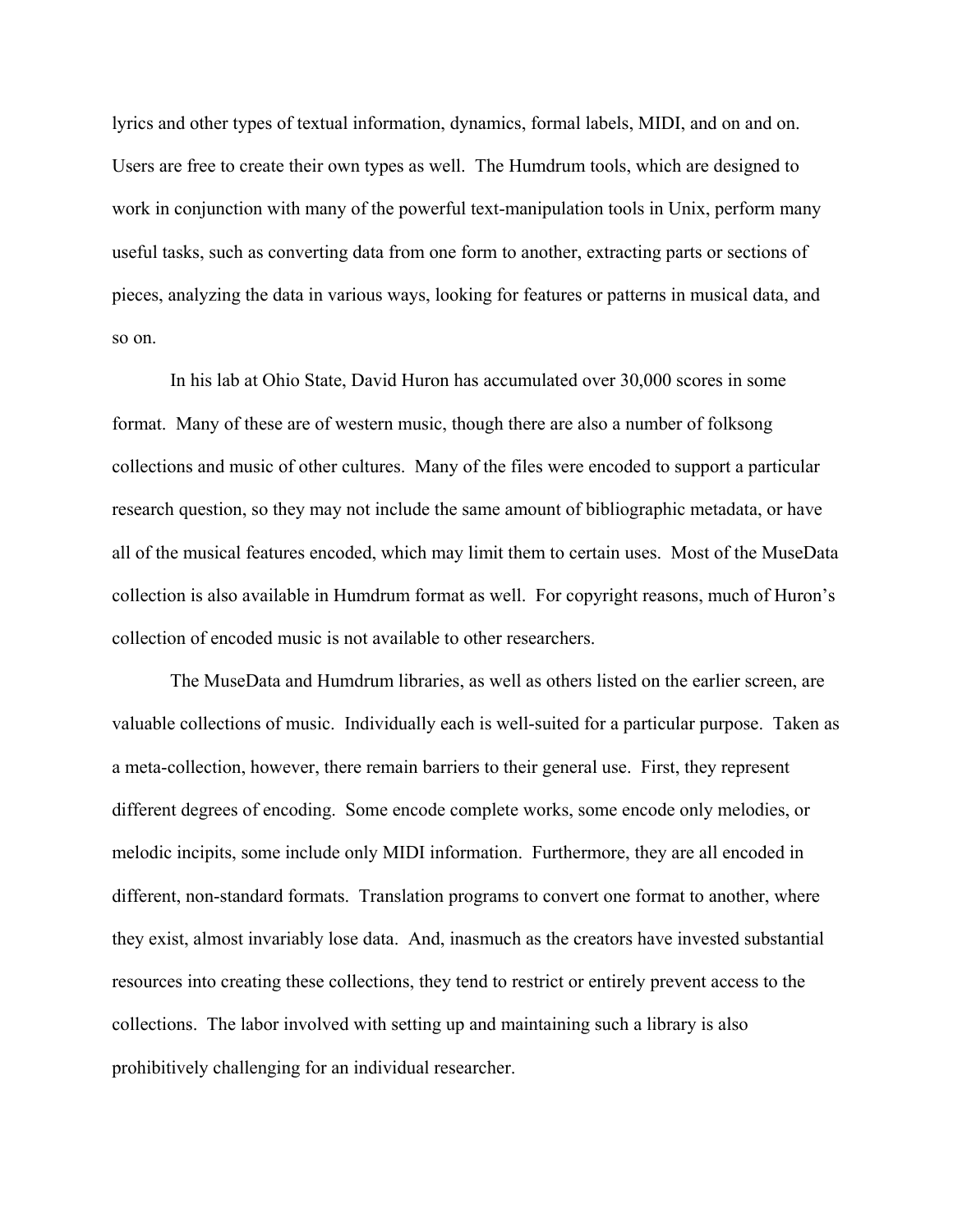lyrics and other types of textual information, dynamics, formal labels, MIDI, and on and on. Users are free to create their own types as well. The Humdrum tools, which are designed to work in conjunction with many of the powerful text-manipulation tools in Unix, perform many useful tasks, such as converting data from one form to another, extracting parts or sections of pieces, analyzing the data in various ways, looking for features or patterns in musical data, and so on.

In his lab at Ohio State, David Huron has accumulated over 30,000 scores in some format. Many of these are of western music, though there are also a number of folksong collections and music of other cultures. Many of the files were encoded to support a particular research question, so they may not include the same amount of bibliographic metadata, or have all of the musical features encoded, which may limit them to certain uses. Most of the MuseData collection is also available in Humdrum format as well. For copyright reasons, much of Huron's collection of encoded music is not available to other researchers.

The MuseData and Humdrum libraries, as well as others listed on the earlier screen, are valuable collections of music. Individually each is well-suited for a particular purpose. Taken as a meta-collection, however, there remain barriers to their general use. First, they represent different degrees of encoding. Some encode complete works, some encode only melodies, or melodic incipits, some include only MIDI information. Furthermore, they are all encoded in different, non-standard formats. Translation programs to convert one format to another, where they exist, almost invariably lose data. And, inasmuch as the creators have invested substantial resources into creating these collections, they tend to restrict or entirely prevent access to the collections. The labor involved with setting up and maintaining such a library is also prohibitively challenging for an individual researcher.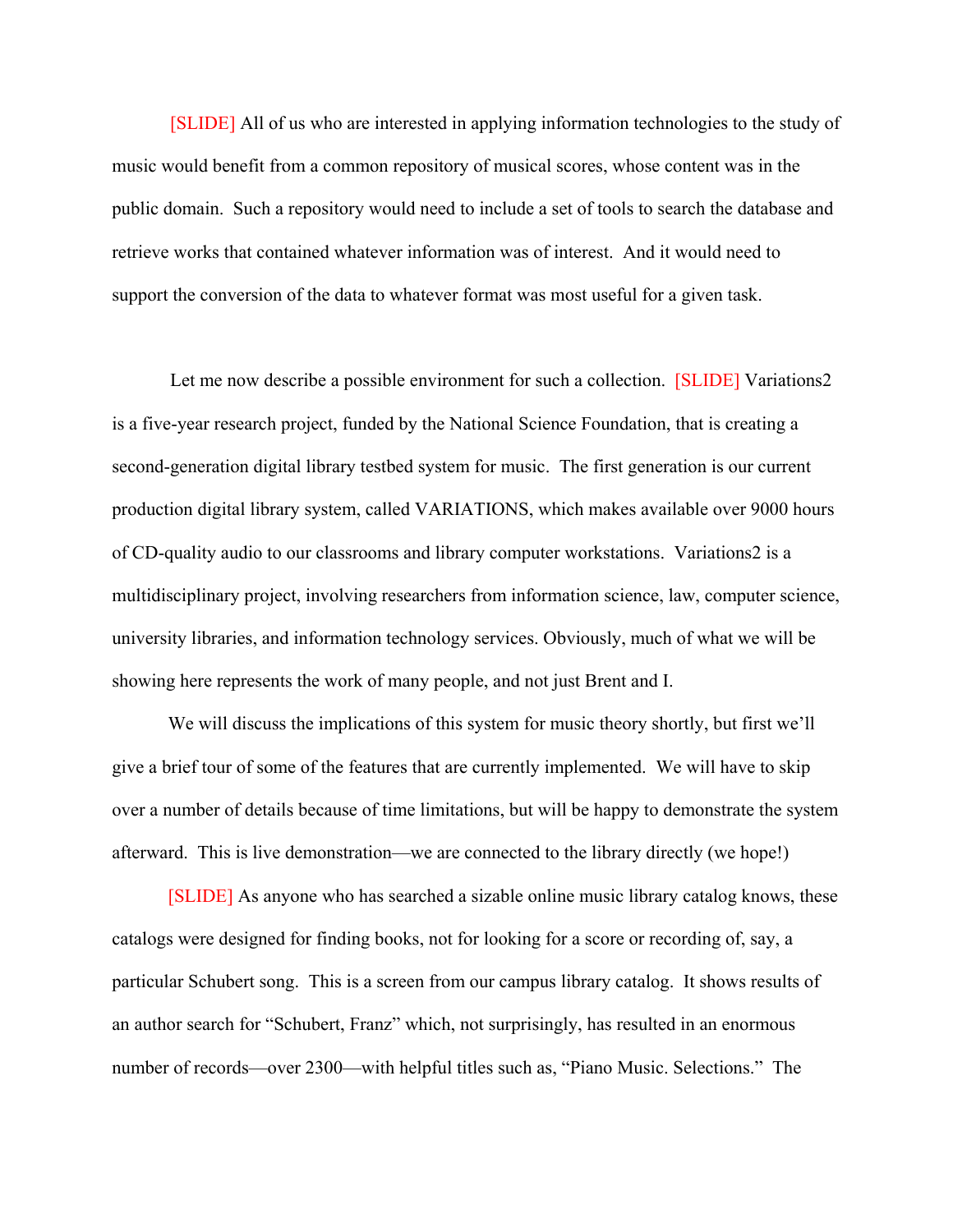[SLIDE] All of us who are interested in applying information technologies to the study of music would benefit from a common repository of musical scores, whose content was in the public domain. Such a repository would need to include a set of tools to search the database and retrieve works that contained whatever information was of interest. And it would need to support the conversion of the data to whatever format was most useful for a given task.

Let me now describe a possible environment for such a collection. [SLIDE] Variations2 is a five-year research project, funded by the National Science Foundation, that is creating a second-generation digital library testbed system for music. The first generation is our current production digital library system, called VARIATIONS, which makes available over 9000 hours of CD-quality audio to our classrooms and library computer workstations. Variations2 is a multidisciplinary project, involving researchers from information science, law, computer science, university libraries, and information technology services. Obviously, much of what we will be showing here represents the work of many people, and not just Brent and I.

We will discuss the implications of this system for music theory shortly, but first we'll give a brief tour of some of the features that are currently implemented. We will have to skip over a number of details because of time limitations, but will be happy to demonstrate the system afterward. This is live demonstration—we are connected to the library directly (we hope!)

[SLIDE] As anyone who has searched a sizable online music library catalog knows, these catalogs were designed for finding books, not for looking for a score or recording of, say, a particular Schubert song. This is a screen from our campus library catalog. It shows results of an author search for "Schubert, Franz" which, not surprisingly, has resulted in an enormous number of records—over 2300—with helpful titles such as, "Piano Music. Selections." The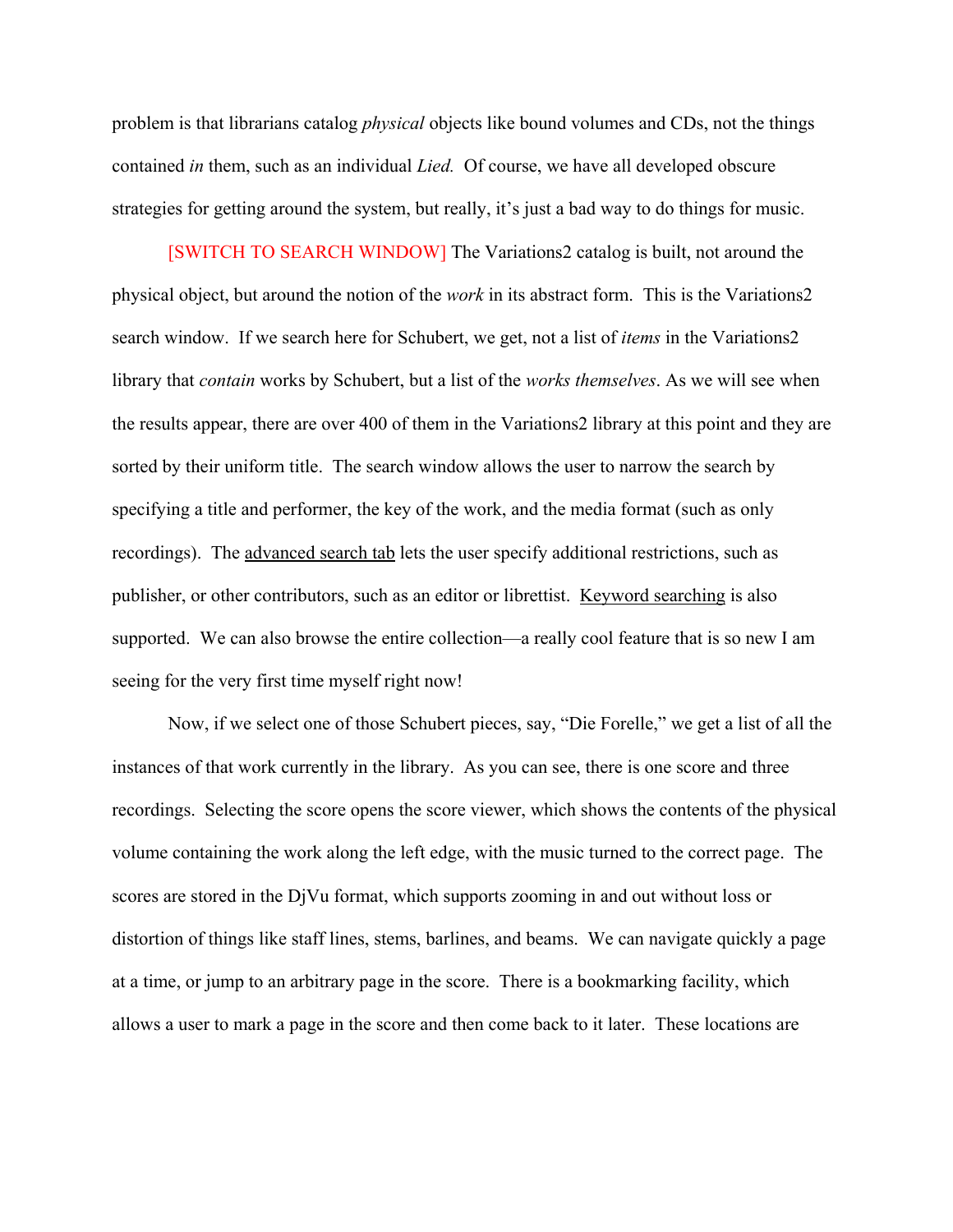problem is that librarians catalog *physical* objects like bound volumes and CDs, not the things contained *in* them, such as an individual *Lied.* Of course, we have all developed obscure strategies for getting around the system, but really, it's just a bad way to do things for music.

[SWITCH TO SEARCH WINDOW] The Variations2 catalog is built, not around the physical object, but around the notion of the *work* in its abstract form. This is the Variations2 search window. If we search here for Schubert, we get, not a list of *items* in the Variations2 library that *contain* works by Schubert, but a list of the *works themselves*. As we will see when the results appear, there are over 400 of them in the Variations2 library at this point and they are sorted by their uniform title. The search window allows the user to narrow the search by specifying a title and performer, the key of the work, and the media format (such as only recordings). The advanced search tab lets the user specify additional restrictions, such as publisher, or other contributors, such as an editor or librettist. Keyword searching is also supported. We can also browse the entire collection—a really cool feature that is so new I am seeing for the very first time myself right now!

Now, if we select one of those Schubert pieces, say, "Die Forelle," we get a list of all the instances of that work currently in the library. As you can see, there is one score and three recordings. Selecting the score opens the score viewer, which shows the contents of the physical volume containing the work along the left edge, with the music turned to the correct page. The scores are stored in the DjVu format, which supports zooming in and out without loss or distortion of things like staff lines, stems, barlines, and beams. We can navigate quickly a page at a time, or jump to an arbitrary page in the score. There is a bookmarking facility, which allows a user to mark a page in the score and then come back to it later. These locations are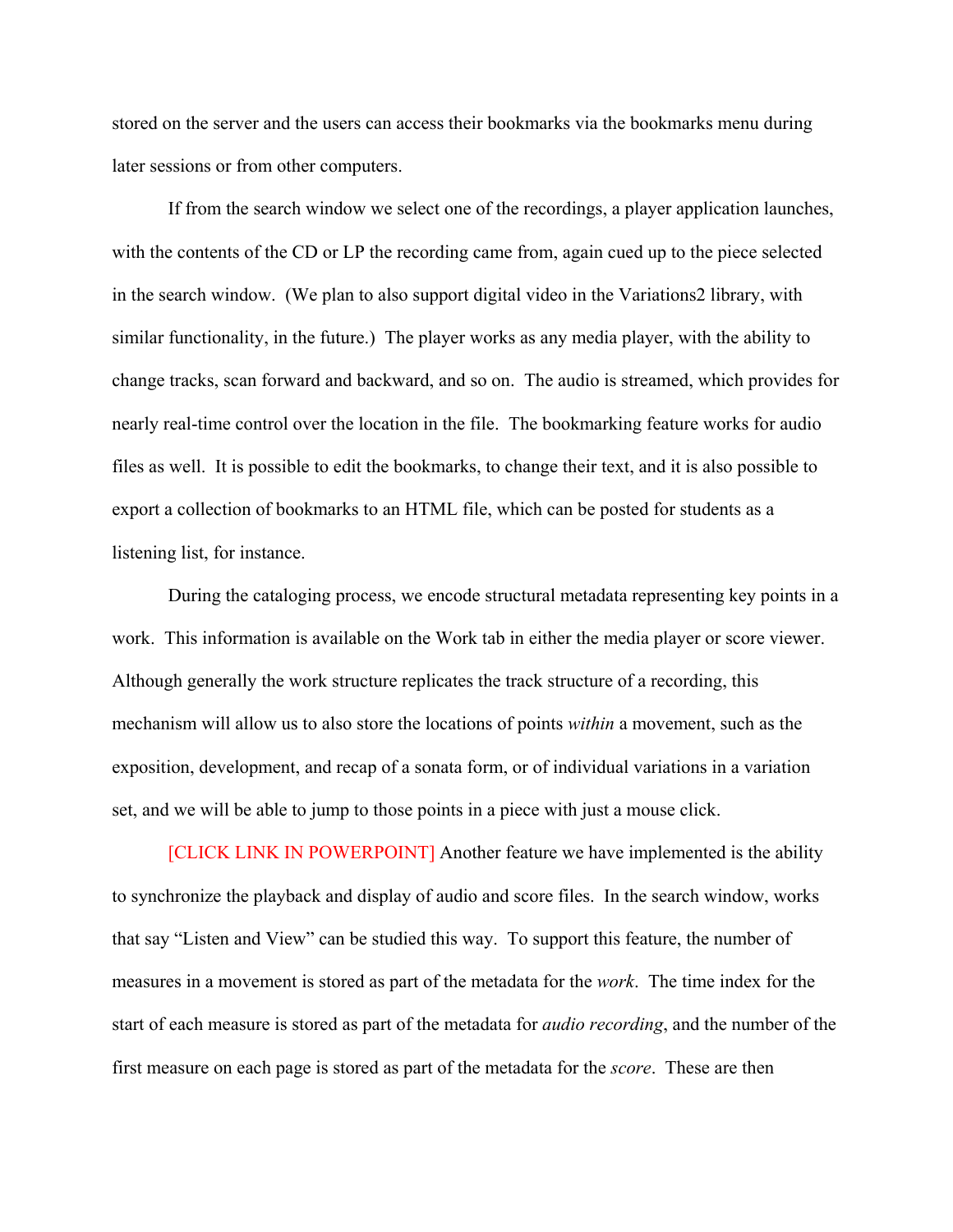stored on the server and the users can access their bookmarks via the bookmarks menu during later sessions or from other computers.

If from the search window we select one of the recordings, a player application launches, with the contents of the CD or LP the recording came from, again cued up to the piece selected in the search window. (We plan to also support digital video in the Variations2 library, with similar functionality, in the future.) The player works as any media player, with the ability to change tracks, scan forward and backward, and so on. The audio is streamed, which provides for nearly real-time control over the location in the file. The bookmarking feature works for audio files as well. It is possible to edit the bookmarks, to change their text, and it is also possible to export a collection of bookmarks to an HTML file, which can be posted for students as a listening list, for instance.

During the cataloging process, we encode structural metadata representing key points in a work. This information is available on the Work tab in either the media player or score viewer. Although generally the work structure replicates the track structure of a recording, this mechanism will allow us to also store the locations of points *within* a movement, such as the exposition, development, and recap of a sonata form, or of individual variations in a variation set, and we will be able to jump to those points in a piece with just a mouse click.

[CLICK LINK IN POWERPOINT] Another feature we have implemented is the ability to synchronize the playback and display of audio and score files. In the search window, works that say "Listen and View" can be studied this way. To support this feature, the number of measures in a movement is stored as part of the metadata for the *work*. The time index for the start of each measure is stored as part of the metadata for *audio recording*, and the number of the first measure on each page is stored as part of the metadata for the *score*. These are then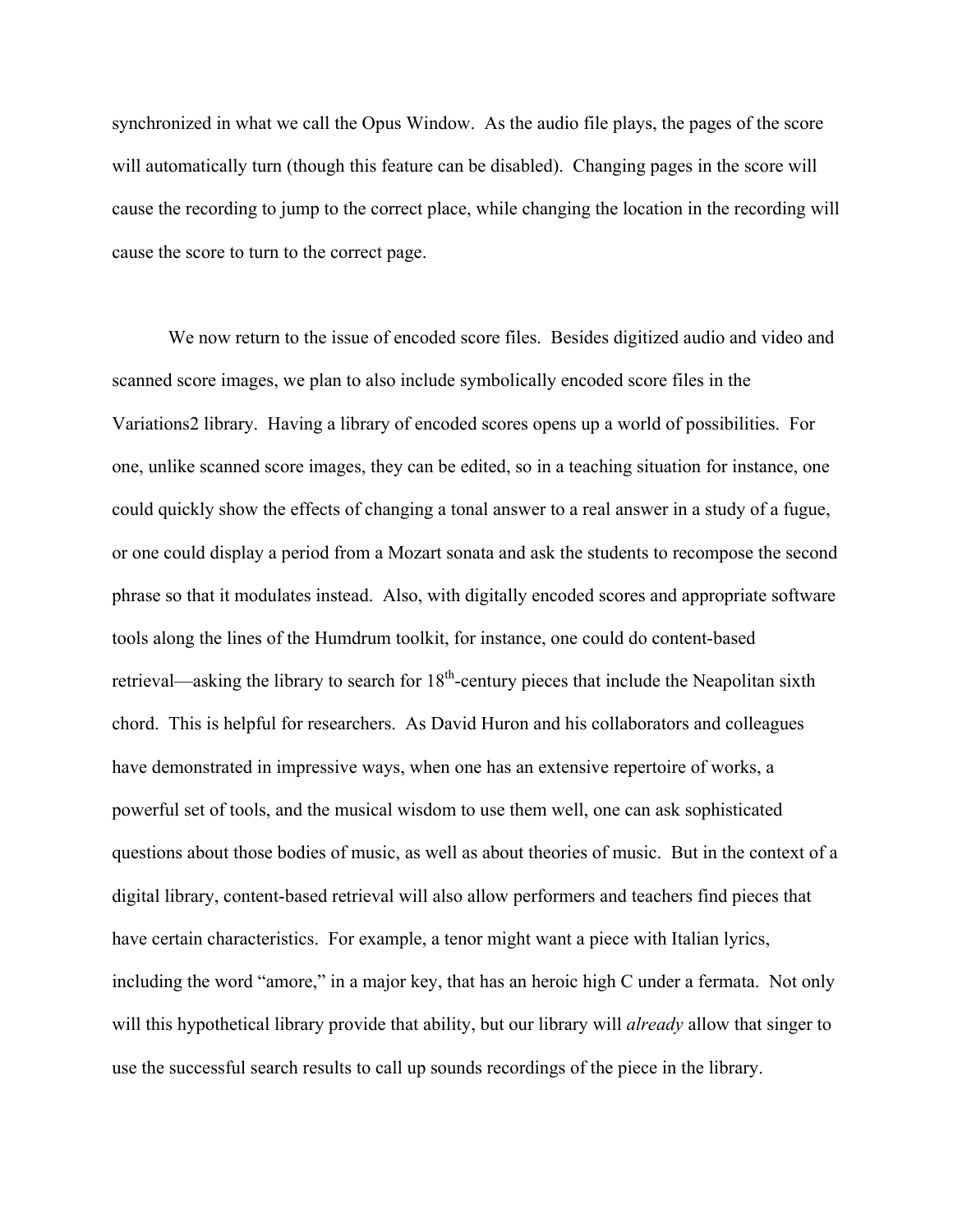synchronized in what we call the Opus Window. As the audio file plays, the pages of the score will automatically turn (though this feature can be disabled). Changing pages in the score will cause the recording to jump to the correct place, while changing the location in the recording will cause the score to turn to the correct page.

We now return to the issue of encoded score files. Besides digitized audio and video and scanned score images, we plan to also include symbolically encoded score files in the Variations2 library. Having a library of encoded scores opens up a world of possibilities. For one, unlike scanned score images, they can be edited, so in a teaching situation for instance, one could quickly show the effects of changing a tonal answer to a real answer in a study of a fugue, or one could display a period from a Mozart sonata and ask the students to recompose the second phrase so that it modulates instead. Also, with digitally encoded scores and appropriate software tools along the lines of the Humdrum toolkit, for instance, one could do content-based retrieval—asking the library to search for  $18<sup>th</sup>$ -century pieces that include the Neapolitan sixth chord. This is helpful for researchers. As David Huron and his collaborators and colleagues have demonstrated in impressive ways, when one has an extensive repertoire of works, a powerful set of tools, and the musical wisdom to use them well, one can ask sophisticated questions about those bodies of music, as well as about theories of music. But in the context of a digital library, content-based retrieval will also allow performers and teachers find pieces that have certain characteristics. For example, a tenor might want a piece with Italian lyrics, including the word "amore," in a major key, that has an heroic high C under a fermata. Not only will this hypothetical library provide that ability, but our library will *already* allow that singer to use the successful search results to call up sounds recordings of the piece in the library.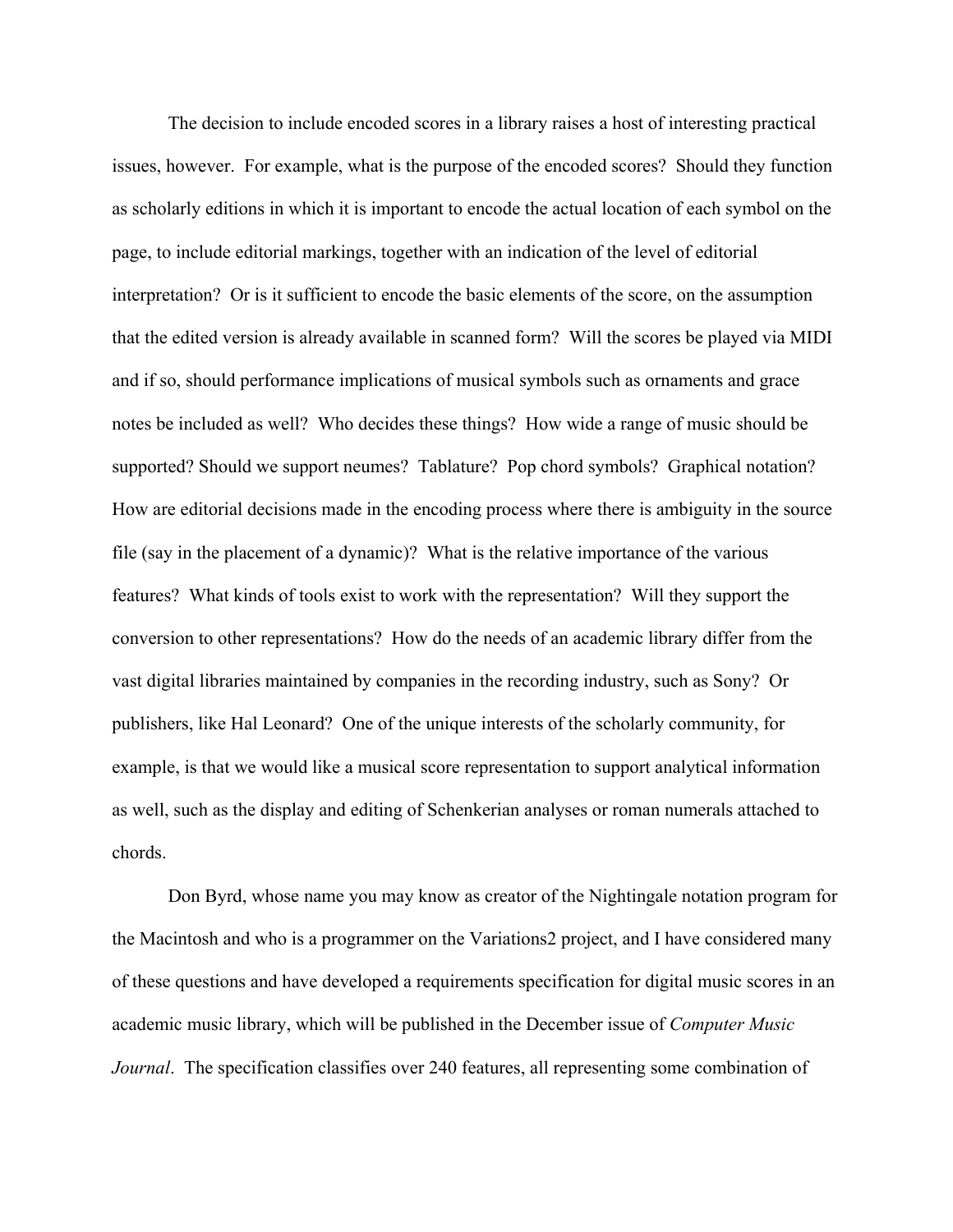The decision to include encoded scores in a library raises a host of interesting practical issues, however. For example, what is the purpose of the encoded scores? Should they function as scholarly editions in which it is important to encode the actual location of each symbol on the page, to include editorial markings, together with an indication of the level of editorial interpretation? Or is it sufficient to encode the basic elements of the score, on the assumption that the edited version is already available in scanned form? Will the scores be played via MIDI and if so, should performance implications of musical symbols such as ornaments and grace notes be included as well? Who decides these things? How wide a range of music should be supported? Should we support neumes? Tablature? Pop chord symbols? Graphical notation? How are editorial decisions made in the encoding process where there is ambiguity in the source file (say in the placement of a dynamic)? What is the relative importance of the various features? What kinds of tools exist to work with the representation? Will they support the conversion to other representations? How do the needs of an academic library differ from the vast digital libraries maintained by companies in the recording industry, such as Sony? Or publishers, like Hal Leonard? One of the unique interests of the scholarly community, for example, is that we would like a musical score representation to support analytical information as well, such as the display and editing of Schenkerian analyses or roman numerals attached to chords.

Don Byrd, whose name you may know as creator of the Nightingale notation program for the Macintosh and who is a programmer on the Variations2 project, and I have considered many of these questions and have developed a requirements specification for digital music scores in an academic music library, which will be published in the December issue of *Computer Music Journal*. The specification classifies over 240 features, all representing some combination of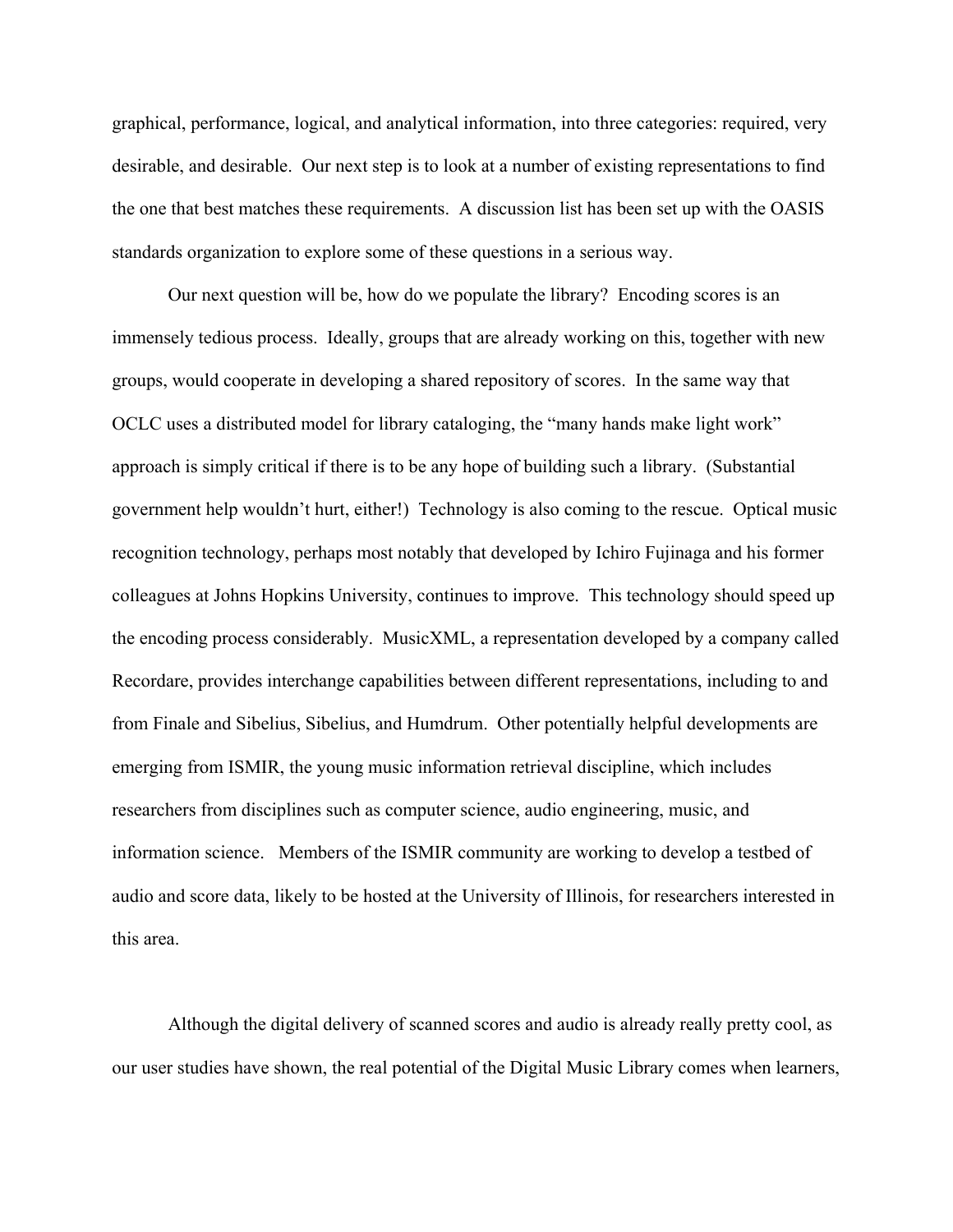graphical, performance, logical, and analytical information, into three categories: required, very desirable, and desirable. Our next step is to look at a number of existing representations to find the one that best matches these requirements. A discussion list has been set up with the OASIS standards organization to explore some of these questions in a serious way.

Our next question will be, how do we populate the library? Encoding scores is an immensely tedious process. Ideally, groups that are already working on this, together with new groups, would cooperate in developing a shared repository of scores. In the same way that OCLC uses a distributed model for library cataloging, the "many hands make light work" approach is simply critical if there is to be any hope of building such a library. (Substantial government help wouldn't hurt, either!) Technology is also coming to the rescue. Optical music recognition technology, perhaps most notably that developed by Ichiro Fujinaga and his former colleagues at Johns Hopkins University, continues to improve. This technology should speed up the encoding process considerably. MusicXML, a representation developed by a company called Recordare, provides interchange capabilities between different representations, including to and from Finale and Sibelius, Sibelius, and Humdrum. Other potentially helpful developments are emerging from ISMIR, the young music information retrieval discipline, which includes researchers from disciplines such as computer science, audio engineering, music, and information science. Members of the ISMIR community are working to develop a testbed of audio and score data, likely to be hosted at the University of Illinois, for researchers interested in this area.

Although the digital delivery of scanned scores and audio is already really pretty cool, as our user studies have shown, the real potential of the Digital Music Library comes when learners,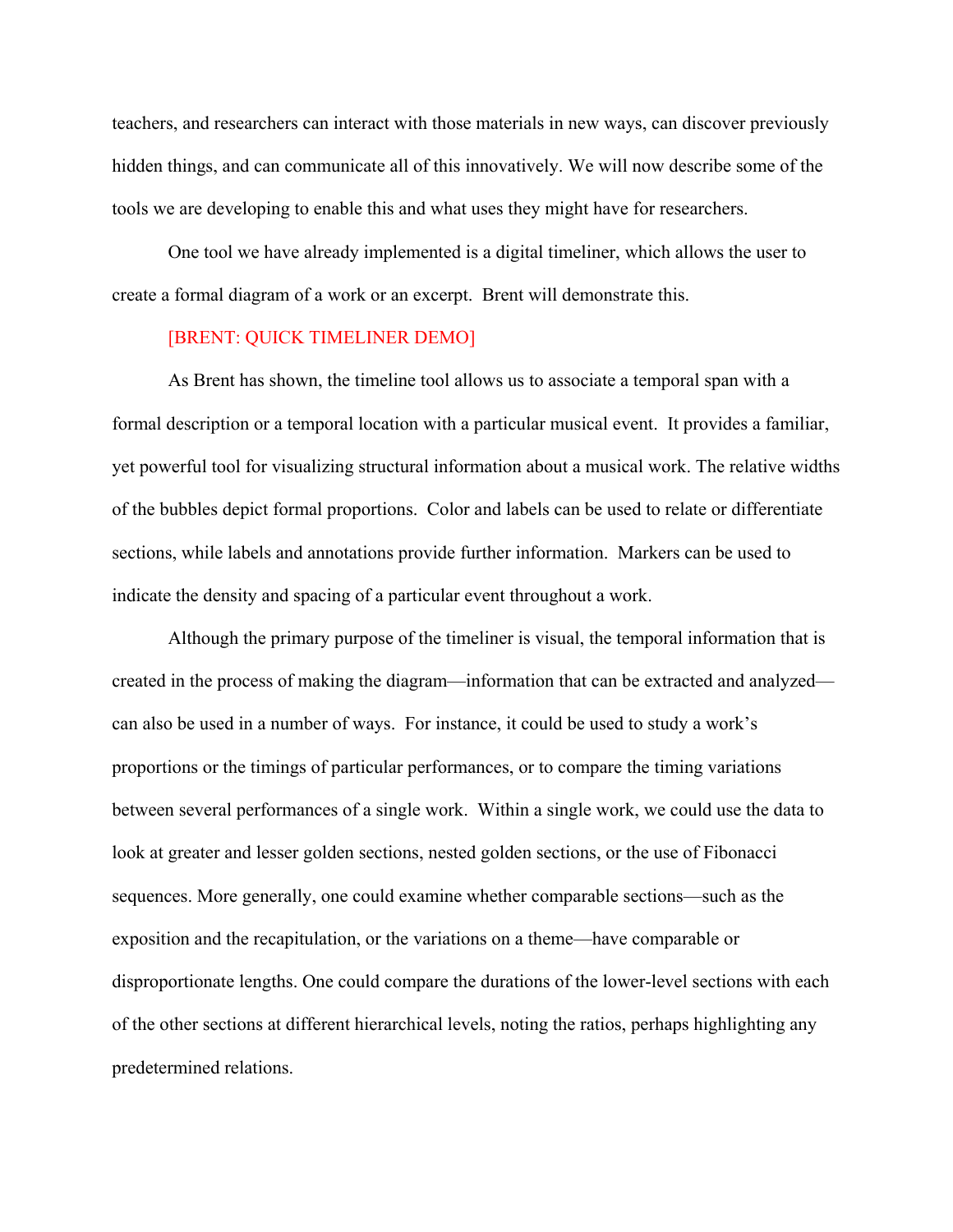teachers, and researchers can interact with those materials in new ways, can discover previously hidden things, and can communicate all of this innovatively. We will now describe some of the tools we are developing to enable this and what uses they might have for researchers.

One tool we have already implemented is a digital timeliner, which allows the user to create a formal diagram of a work or an excerpt. Brent will demonstrate this.

## [BRENT: QUICK TIMELINER DEMO]

As Brent has shown, the timeline tool allows us to associate a temporal span with a formal description or a temporal location with a particular musical event. It provides a familiar, yet powerful tool for visualizing structural information about a musical work. The relative widths of the bubbles depict formal proportions. Color and labels can be used to relate or differentiate sections, while labels and annotations provide further information. Markers can be used to indicate the density and spacing of a particular event throughout a work.

Although the primary purpose of the timeliner is visual, the temporal information that is created in the process of making the diagram—information that can be extracted and analyzed can also be used in a number of ways. For instance, it could be used to study a work's proportions or the timings of particular performances, or to compare the timing variations between several performances of a single work. Within a single work, we could use the data to look at greater and lesser golden sections, nested golden sections, or the use of Fibonacci sequences. More generally, one could examine whether comparable sections—such as the exposition and the recapitulation, or the variations on a theme—have comparable or disproportionate lengths. One could compare the durations of the lower-level sections with each of the other sections at different hierarchical levels, noting the ratios, perhaps highlighting any predetermined relations.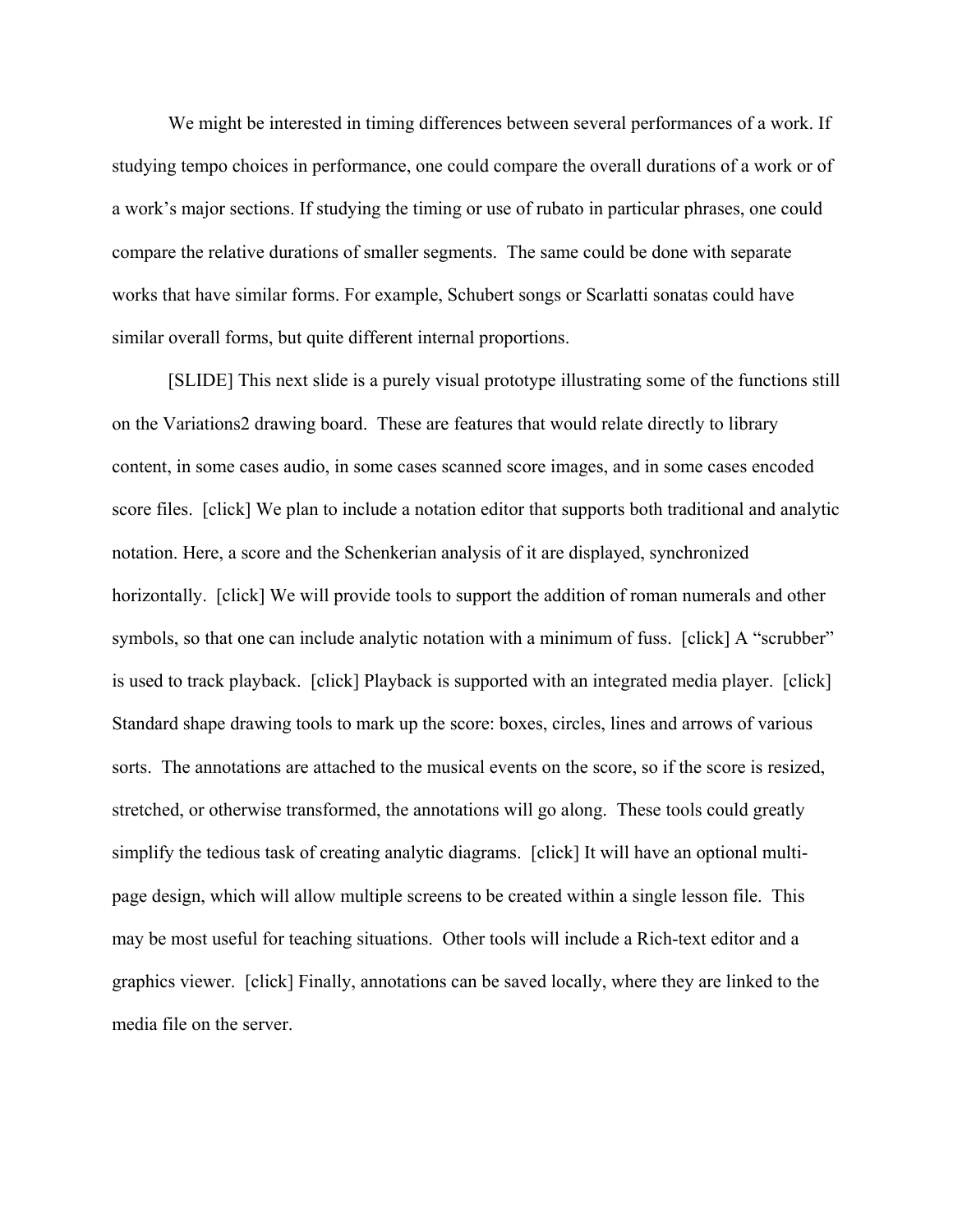We might be interested in timing differences between several performances of a work. If studying tempo choices in performance, one could compare the overall durations of a work or of a work's major sections. If studying the timing or use of rubato in particular phrases, one could compare the relative durations of smaller segments. The same could be done with separate works that have similar forms. For example, Schubert songs or Scarlatti sonatas could have similar overall forms, but quite different internal proportions.

[SLIDE] This next slide is a purely visual prototype illustrating some of the functions still on the Variations2 drawing board. These are features that would relate directly to library content, in some cases audio, in some cases scanned score images, and in some cases encoded score files. [click] We plan to include a notation editor that supports both traditional and analytic notation. Here, a score and the Schenkerian analysis of it are displayed, synchronized horizontally. [click] We will provide tools to support the addition of roman numerals and other symbols, so that one can include analytic notation with a minimum of fuss. [click] A "scrubber" is used to track playback. [click] Playback is supported with an integrated media player. [click] Standard shape drawing tools to mark up the score: boxes, circles, lines and arrows of various sorts. The annotations are attached to the musical events on the score, so if the score is resized, stretched, or otherwise transformed, the annotations will go along. These tools could greatly simplify the tedious task of creating analytic diagrams. [click] It will have an optional multipage design, which will allow multiple screens to be created within a single lesson file. This may be most useful for teaching situations. Other tools will include a Rich-text editor and a graphics viewer. [click] Finally, annotations can be saved locally, where they are linked to the media file on the server.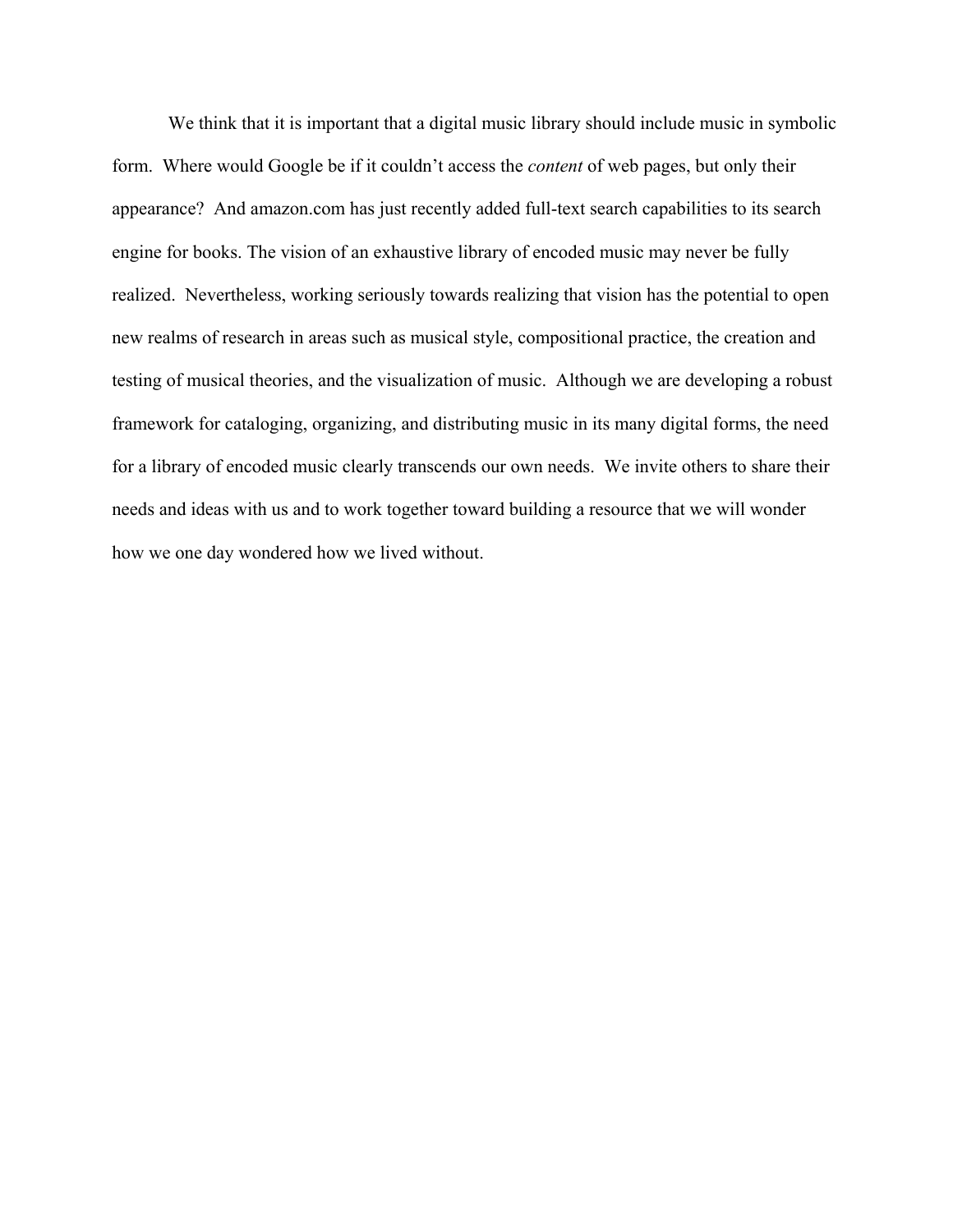We think that it is important that a digital music library should include music in symbolic form. Where would Google be if it couldn't access the *content* of web pages, but only their appearance? And amazon.com has just recently added full-text search capabilities to its search engine for books. The vision of an exhaustive library of encoded music may never be fully realized. Nevertheless, working seriously towards realizing that vision has the potential to open new realms of research in areas such as musical style, compositional practice, the creation and testing of musical theories, and the visualization of music. Although we are developing a robust framework for cataloging, organizing, and distributing music in its many digital forms, the need for a library of encoded music clearly transcends our own needs. We invite others to share their needs and ideas with us and to work together toward building a resource that we will wonder how we one day wondered how we lived without.